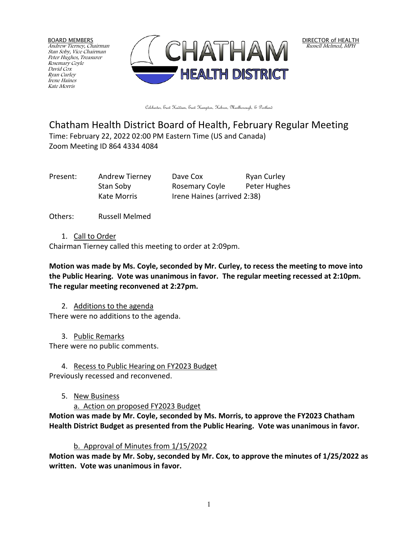BOARD MEMBERS Andrew Tierney, Chairman Stan Soby, Vice Chairman Peter Hughes, Treasurer Rosemary Coyle David Cox Ryan Curley Irene Haines Kate Morris



Colchester, East Haddam, East Hampton, Hebron, Marlborough, & Portland

# Chatham Health District Board of Health, February Regular Meeting Time: February 22, 2022 02:00 PM Eastern Time (US and Canada) Zoom Meeting ID 864 4334 4084

Present: Andrew Tierney Dave Cox Ryan Curley Stan Soby **Rosemary Coyle** Peter Hughes Kate Morris **Irene Haines (arrived 2:38)** 

Others: Russell Melmed

1. Call to Order

Chairman Tierney called this meeting to order at 2:09pm.

**Motion was made by Ms. Coyle, seconded by Mr. Curley, to recess the meeting to move into the Public Hearing. Vote was unanimous in favor. The regular meeting recessed at 2:10pm. The regular meeting reconvened at 2:27pm.** 

2. Additions to the agenda

There were no additions to the agenda.

3. Public Remarks

There were no public comments.

4. Recess to Public Hearing on FY2023 Budget

Previously recessed and reconvened.

- 5. New Business
	- a. Action on proposed FY2023 Budget

**Motion was made by Mr. Coyle, seconded by Ms. Morris, to approve the FY2023 Chatham Health District Budget as presented from the Public Hearing. Vote was unanimous in favor.**

### b. Approval of Minutes from 1/15/2022

**Motion was made by Mr. Soby, seconded by Mr. Cox, to approve the minutes of 1/25/2022 as written. Vote was unanimous in favor.**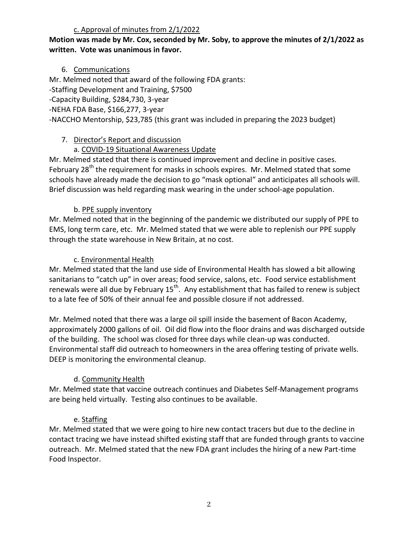#### c. Approval of minutes from 2/1/2022

#### **Motion was made by Mr. Cox, seconded by Mr. Soby, to approve the minutes of 2/1/2022 as written. Vote was unanimous in favor.**

### 6. Communications

Mr. Melmed noted that award of the following FDA grants: -Staffing Development and Training, \$7500 -Capacity Building, \$284,730, 3-year -NEHA FDA Base, \$166,277, 3-year -NACCHO Mentorship, \$23,785 (this grant was included in preparing the 2023 budget)

### 7. Director's Report and discussion

## a. COVID-19 Situational Awareness Update

Mr. Melmed stated that there is continued improvement and decline in positive cases. February 28<sup>th</sup> the requirement for masks in schools expires. Mr. Melmed stated that some schools have already made the decision to go "mask optional" and anticipates all schools will. Brief discussion was held regarding mask wearing in the under school-age population.

## b. PPE supply inventory

Mr. Melmed noted that in the beginning of the pandemic we distributed our supply of PPE to EMS, long term care, etc. Mr. Melmed stated that we were able to replenish our PPE supply through the state warehouse in New Britain, at no cost.

### c. Environmental Health

Mr. Melmed stated that the land use side of Environmental Health has slowed a bit allowing sanitarians to "catch up" in over areas; food service, salons, etc. Food service establishment renewals were all due by February  $15<sup>th</sup>$ . Any establishment that has failed to renew is subject to a late fee of 50% of their annual fee and possible closure if not addressed.

Mr. Melmed noted that there was a large oil spill inside the basement of Bacon Academy, approximately 2000 gallons of oil. Oil did flow into the floor drains and was discharged outside of the building. The school was closed for three days while clean-up was conducted. Environmental staff did outreach to homeowners in the area offering testing of private wells. DEEP is monitoring the environmental cleanup.

## d. Community Health

Mr. Melmed state that vaccine outreach continues and Diabetes Self-Management programs are being held virtually. Testing also continues to be available.

## e. Staffing

Mr. Melmed stated that we were going to hire new contact tracers but due to the decline in contact tracing we have instead shifted existing staff that are funded through grants to vaccine outreach. Mr. Melmed stated that the new FDA grant includes the hiring of a new Part-time Food Inspector.